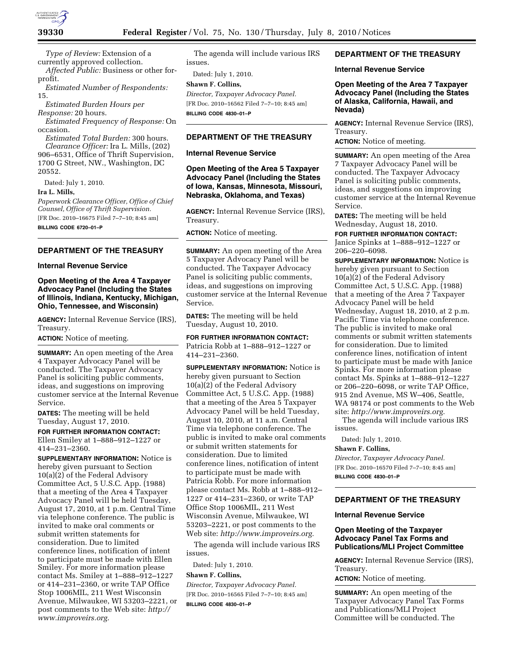

*Type of Review:* Extension of a currently approved collection.

*Affected Public:* Business or other forprofit.

*Estimated Number of Respondents:*  15.

*Estimated Burden Hours per Response:* 20 hours.

*Estimated Frequency of Response:* On occasion.

*Estimated Total Burden:* 300 hours. *Clearance Officer:* Ira L. Mills, (202) 906–6531, Office of Thrift Supervision, 1700 G Street, NW., Washington, DC 20552.

Dated: July 1, 2010.

### **Ira L. Mills,**

*Paperwork Clearance Officer, Office of Chief Counsel, Office of Thrift Supervision.*  [FR Doc. 2010–16675 Filed 7–7–10; 8:45 am] **BILLING CODE 6720–01–P** 

# **DEPARTMENT OF THE TREASURY**

### **Internal Revenue Service**

## **Open Meeting of the Area 4 Taxpayer Advocacy Panel (Including the States of Illinois, Indiana, Kentucky, Michigan, Ohio, Tennessee, and Wisconsin)**

**AGENCY:** Internal Revenue Service (IRS), Treasury.

**ACTION:** Notice of meeting.

**SUMMARY:** An open meeting of the Area 4 Taxpayer Advocacy Panel will be conducted. The Taxpayer Advocacy Panel is soliciting public comments, ideas, and suggestions on improving customer service at the Internal Revenue Service.

**DATES:** The meeting will be held Tuesday, August 17, 2010.

**FOR FURTHER INFORMATION CONTACT:**  Ellen Smiley at 1–888–912–1227 or 414–231–2360.

**SUPPLEMENTARY INFORMATION:** Notice is hereby given pursuant to Section 10(a)(2) of the Federal Advisory Committee Act, 5 U.S.C. App. (1988) that a meeting of the Area 4 Taxpayer Advocacy Panel will be held Tuesday, August 17, 2010, at 1 p.m. Central Time via telephone conference. The public is invited to make oral comments or submit written statements for consideration. Due to limited conference lines, notification of intent to participate must be made with Ellen Smiley. For more information please contact Ms. Smiley at 1–888–912–1227 or 414–231–2360, or write TAP Office Stop 1006MIL, 211 West Wisconsin Avenue, Milwaukee, WI 53203–2221, or post comments to the Web site: *http:// www.improveirs.org.* 

The agenda will include various IRS issues.

Dated: July 1, 2010.

# **Shawn F. Collins,**

*Director, Taxpayer Advocacy Panel.*  [FR Doc. 2010–16562 Filed 7–7–10; 8:45 am] **BILLING CODE 4830–01–P** 

#### **DEPARTMENT OF THE TREASURY**

#### **Internal Revenue Service**

## **Open Meeting of the Area 5 Taxpayer Advocacy Panel (Including the States of Iowa, Kansas, Minnesota, Missouri, Nebraska, Oklahoma, and Texas)**

**AGENCY:** Internal Revenue Service (IRS), Treasury.

**ACTION:** Notice of meeting.

**SUMMARY:** An open meeting of the Area 5 Taxpayer Advocacy Panel will be conducted. The Taxpayer Advocacy Panel is soliciting public comments, ideas, and suggestions on improving customer service at the Internal Revenue Service.

**DATES:** The meeting will be held Tuesday, August 10, 2010.

**FOR FURTHER INFORMATION CONTACT:**  Patricia Robb at 1–888–912–1227 or 414–231–2360.

**SUPPLEMENTARY INFORMATION:** Notice is hereby given pursuant to Section 10(a)(2) of the Federal Advisory Committee Act, 5 U.S.C. App. (1988) that a meeting of the Area 5 Taxpayer Advocacy Panel will be held Tuesday, August 10, 2010, at 11 a.m. Central Time via telephone conference. The public is invited to make oral comments or submit written statements for consideration. Due to limited conference lines, notification of intent to participate must be made with Patricia Robb. For more information please contact Ms. Robb at 1–888–912– 1227 or 414–231–2360, or write TAP Office Stop 1006MIL, 211 West Wisconsin Avenue, Milwaukee, WI 53203–2221, or post comments to the Web site: *http://www.improveirs.org.* 

The agenda will include various IRS issues.

Dated: July 1, 2010.

#### **Shawn F. Collins,**

*Director, Taxpayer Advocacy Panel.*  [FR Doc. 2010–16565 Filed 7–7–10; 8:45 am] **BILLING CODE 4830–01–P** 

## **DEPARTMENT OF THE TREASURY**

#### **Internal Revenue Service**

**Open Meeting of the Area 7 Taxpayer Advocacy Panel (Including the States of Alaska, California, Hawaii, and Nevada)** 

**AGENCY:** Internal Revenue Service (IRS), Treasury.

**ACTION:** Notice of meeting.

**SUMMARY:** An open meeting of the Area 7 Taxpayer Advocacy Panel will be conducted. The Taxpayer Advocacy Panel is soliciting public comments, ideas, and suggestions on improving customer service at the Internal Revenue Service.

**DATES:** The meeting will be held Wednesday, August 18, 2010.

**FOR FURTHER INFORMATION CONTACT:**  Janice Spinks at 1–888–912–1227 or 206–220–6098.

**SUPPLEMENTARY INFORMATION:** Notice is hereby given pursuant to Section 10(a)(2) of the Federal Advisory Committee Act, 5 U.S.C. App. (1988) that a meeting of the Area 7 Taxpayer Advocacy Panel will be held Wednesday, August 18, 2010, at 2 p.m. Pacific Time via telephone conference. The public is invited to make oral comments or submit written statements for consideration. Due to limited conference lines, notification of intent to participate must be made with Janice Spinks. For more information please contact Ms. Spinks at 1–888–912–1227 or 206–220–6098, or write TAP Office, 915 2nd Avenue, MS W–406, Seattle, WA 98174 or post comments to the Web site: *http://www.improveirs.org.* 

The agenda will include various IRS issues.

Dated: July 1, 2010.

## **Shawn F. Collins,**

*Director, Taxpayer Advocacy Panel.*  [FR Doc. 2010–16570 Filed 7–7–10; 8:45 am] **BILLING CODE 4830–01–P** 

# **DEPARTMENT OF THE TREASURY**

### **Internal Revenue Service**

## **Open Meeting of the Taxpayer Advocacy Panel Tax Forms and Publications/MLI Project Committee**

**AGENCY:** Internal Revenue Service (IRS), Treasury.

**ACTION:** Notice of meeting.

**SUMMARY:** An open meeting of the Taxpayer Advocacy Panel Tax Forms and Publications/MLI Project Committee will be conducted. The